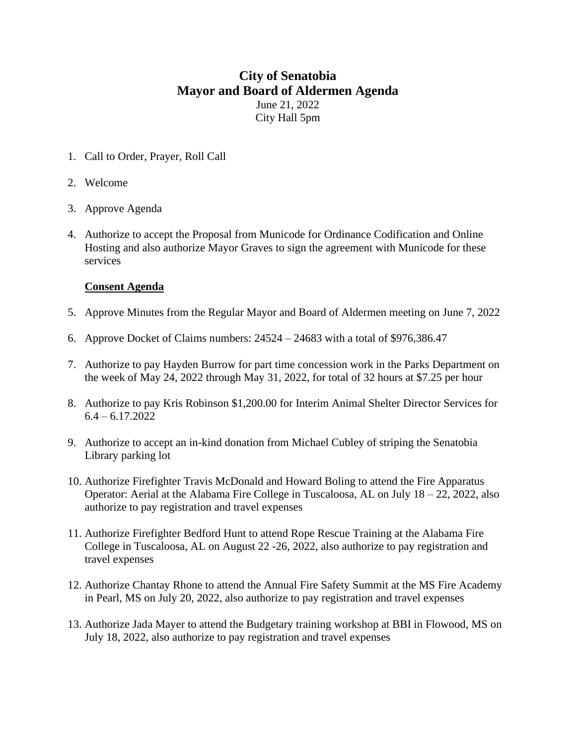## **City of Senatobia Mayor and Board of Aldermen Agenda** June 21, 2022 City Hall 5pm

1. Call to Order, Prayer, Roll Call

## 2. Welcome

- 3. Approve Agenda
- 4. Authorize to accept the Proposal from Municode for Ordinance Codification and Online Hosting and also authorize Mayor Graves to sign the agreement with Municode for these services

## **Consent Agenda**

- 5. Approve Minutes from the Regular Mayor and Board of Aldermen meeting on June 7, 2022
- 6. Approve Docket of Claims numbers: 24524 24683 with a total of \$976,386.47
- 7. Authorize to pay Hayden Burrow for part time concession work in the Parks Department on the week of May 24, 2022 through May 31, 2022, for total of 32 hours at \$7.25 per hour
- 8. Authorize to pay Kris Robinson \$1,200.00 for Interim Animal Shelter Director Services for  $6.4 - 6.17.2022$
- 9. Authorize to accept an in-kind donation from Michael Cubley of striping the Senatobia Library parking lot
- 10. Authorize Firefighter Travis McDonald and Howard Boling to attend the Fire Apparatus Operator: Aerial at the Alabama Fire College in Tuscaloosa, AL on July 18 – 22, 2022, also authorize to pay registration and travel expenses
- 11. Authorize Firefighter Bedford Hunt to attend Rope Rescue Training at the Alabama Fire College in Tuscaloosa, AL on August 22 -26, 2022, also authorize to pay registration and travel expenses
- 12. Authorize Chantay Rhone to attend the Annual Fire Safety Summit at the MS Fire Academy in Pearl, MS on July 20, 2022, also authorize to pay registration and travel expenses
- 13. Authorize Jada Mayer to attend the Budgetary training workshop at BBI in Flowood, MS on July 18, 2022, also authorize to pay registration and travel expenses